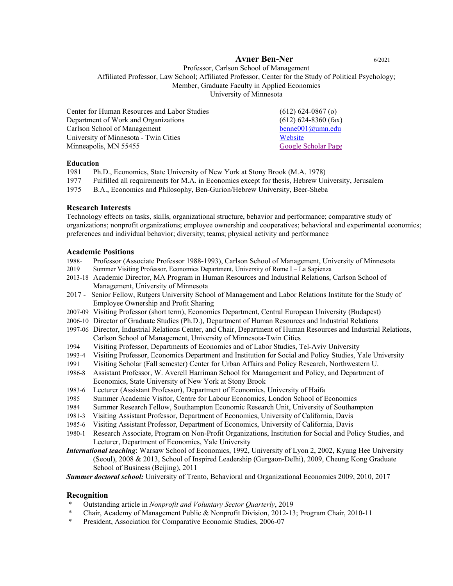# **Avner Ben-Ner** 6/2021

Professor, Carlson School of Management Affiliated Professor, Law School; Affiliated Professor, Center for the Study of Political Psychology; Member, Graduate Faculty in Applied Economics University of Minnesota

| Center for Human Resources and Labor Studies | $(612) 624 - 0867$ (o) |
|----------------------------------------------|------------------------|
| Department of Work and Organizations         | $(612)$ 624-8360 (fax) |
| Carlson School of Management                 | $benne001@umm.edu$     |
| University of Minnesota - Twin Cities        | Website                |
| Minneapolis, MN 55455                        | Google Scholar Page    |

#### **Education**

1981 Ph.D., Economics, State University of New York at Stony Brook (M.A. 1978)

- 1977 Fulfilled all requirements for M.A. in Economics except for thesis, Hebrew University, Jerusalem
- 1975 B.A., Economics and Philosophy, Ben-Gurion/Hebrew University, Beer-Sheba

## **Research Interests**

Technology effects on tasks, skills, organizational structure, behavior and performance; comparative study of organizations; nonprofit organizations; employee ownership and cooperatives; behavioral and experimental economics; preferences and individual behavior; diversity; teams; physical activity and performance

## **Academic Positions**

- 1988- Professor (Associate Professor 1988-1993), Carlson School of Management, University of Minnesota
- 2019 Summer Visiting Professor, Economics Department, University of Rome I La Sapienza
- 2013-18 Academic Director, MA Program in Human Resources and Industrial Relations, Carlson School of Management, University of Minnesota
- 2017 Senior Fellow, Rutgers University School of Management and Labor Relations Institute for the Study of Employee Ownership and Profit Sharing
- 2007-09 Visiting Professor (short term), Economics Department, Central European University (Budapest)
- 2006-10 Director of Graduate Studies (Ph.D.), Department of Human Resources and Industrial Relations
- 1997-06 Director, Industrial Relations Center, and Chair, Department of Human Resources and Industrial Relations, Carlson School of Management, University of Minnesota-Twin Cities
- 1994 Visiting Professor, Departments of Economics and of Labor Studies, Tel-Aviv University
- 1993-4 Visiting Professor, Economics Department and Institution for Social and Policy Studies, Yale University
- 1991 Visiting Scholar (Fall semester) Center for Urban Affairs and Policy Research, Northwestern U.
- 1986-8 Assistant Professor, W. Averell Harriman School for Management and Policy, and Department of Economics, State University of New York at Stony Brook
- 1983-6 Lecturer (Assistant Professor), Department of Economics, University of Haifa
- 1985 Summer Academic Visitor, Centre for Labour Economics, London School of Economics
- 1984 Summer Research Fellow, Southampton Economic Research Unit, University of Southampton
- 1981-3 Visiting Assistant Professor, Department of Economics, University of California, Davis
- 1985-6 Visiting Assistant Professor, Department of Economics, University of California, Davis
- 1980-1 Research Associate, Program on Non-Profit Organizations, Institution for Social and Policy Studies, and Lecturer, Department of Economics, Yale University
- *International teaching*: Warsaw School of Economics, 1992, University of Lyon 2, 2002, Kyung Hee University (Seoul), 2008 & 2013, School of Inspired Leadership (Gurgaon-Delhi), 2009, Cheung Kong Graduate School of Business (Beijing), 2011

*Summer doctoral school:* University of Trento, Behavioral and Organizational Economics 2009, 2010, 2017

# **Recognition**

- \* Outstanding article in *Nonprofit and Voluntary Sector Quarterly*, 2019
- \* Chair, Academy of Management Public & Nonprofit Division, 2012-13; Program Chair, 2010-11<br>\* Procedent Association for Comparative Economic Studies, 2006.07
- President, Association for Comparative Economic Studies, 2006-07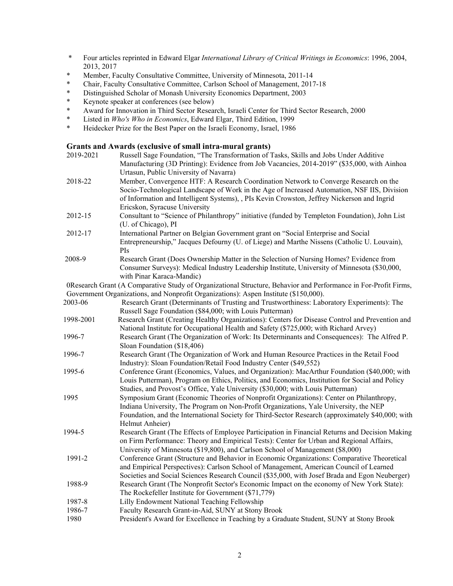- \* Four articles reprinted in Edward Elgar *International Library of Critical Writings in Economics*: 1996, 2004, 2013, 2017
- \* Member, Faculty Consultative Committee, University of Minnesota, 2011-14
- Chair, Faculty Consultative Committee, Carlson School of Management, 2017-18
- \* Distinguished Scholar of Monash University Economics Department, 2003<br>Keynote speaker at conferences (see below)
- \* Keynote speaker at conferences (see below)<br>\* Award for Innovation in Third Sector Resear
- \* Award for Innovation in Third Sector Research, Israeli Center for Third Sector Research, 2000<br>
\* I isted in Who's Who in Economics, Edward Elgar, Third Edition, 1999
- \* Listed in *Who's Who in Economics*, Edward Elgar, Third Edition, 1999
- \* Heidecker Prize for the Best Paper on the Israeli Economy, Israel, 1986

# **Grants and Awards (exclusive of small intra-mural grants)**

| 2019-2021 | Russell Sage Foundation, "The Transformation of Tasks, Skills and Jobs Under Additive<br>Manufacturing (3D Printing): Evidence from Job Vacancies, 2014-2019" (\$35,000, with Ainhoa |
|-----------|--------------------------------------------------------------------------------------------------------------------------------------------------------------------------------------|
|           | Urtasun, Public University of Navarra)                                                                                                                                               |
| 2018-22   | Member, Convergence HTF: A Research Coordination Network to Converge Research on the                                                                                                 |
|           | Socio-Technological Landscape of Work in the Age of Increased Automation, NSF IIS, Division                                                                                          |
|           | of Information and Intelligent Systems), , PIs Kevin Crowston, Jeffrey Nickerson and Ingrid                                                                                          |
|           | Ericskon, Syracuse University                                                                                                                                                        |
| 2012-15   | Consultant to "Science of Philanthropy" initiative (funded by Templeton Foundation), John List                                                                                       |
|           | (U. of Chicago), PI                                                                                                                                                                  |
| 2012-17   | International Partner on Belgian Government grant on "Social Enterprise and Social                                                                                                   |
|           | Entrepreneurship," Jacques Defourny (U. of Liege) and Marthe Nissens (Catholic U. Louvain),                                                                                          |
|           | PIs                                                                                                                                                                                  |
| 2008-9    | Research Grant (Does Ownership Matter in the Selection of Nursing Homes? Evidence from                                                                                               |
|           | Consumer Surveys): Medical Industry Leadership Institute, University of Minnesota (\$30,000,                                                                                         |
|           | with Pinar Karaca-Mandic)                                                                                                                                                            |
|           | 0Research Grant (A Comparative Study of Organizational Structure, Behavior and Performance in For-Profit Firms,                                                                      |
|           | Government Organizations, and Nonprofit Organizations): Aspen Institute (\$150,000).                                                                                                 |
| 2003-06   | Research Grant (Determinants of Trusting and Trustworthiness: Laboratory Experiments): The                                                                                           |
|           | Russell Sage Foundation (\$84,000; with Louis Putterman)                                                                                                                             |
| 1998-2001 | Research Grant (Creating Healthy Organizations): Centers for Disease Control and Prevention and                                                                                      |
|           | National Institute for Occupational Health and Safety (\$725,000; with Richard Arvey)                                                                                                |
| 1996-7    | Research Grant (The Organization of Work: Its Determinants and Consequences): The Alfred P.                                                                                          |
|           | Sloan Foundation (\$18,406)                                                                                                                                                          |
| 1996-7    | Research Grant (The Organization of Work and Human Resource Practices in the Retail Food                                                                                             |
|           | Industry): Sloan Foundation/Retail Food Industry Center (\$49,552)                                                                                                                   |
| 1995-6    | Conference Grant (Economics, Values, and Organization): MacArthur Foundation (\$40,000; with                                                                                         |
|           | Louis Putterman), Program on Ethics, Politics, and Economics, Institution for Social and Policy                                                                                      |
|           | Studies, and Provost's Office, Yale University (\$30,000; with Louis Putterman)                                                                                                      |
| 1995      | Symposium Grant (Economic Theories of Nonprofit Organizations): Center on Philanthropy,                                                                                              |
|           | Indiana University, The Program on Non-Profit Organizations, Yale University, the NEP                                                                                                |
|           | Foundation, and the International Society for Third-Sector Research (approximately \$40,000; with                                                                                    |
|           | Helmut Anheier)                                                                                                                                                                      |
| 1994-5    | Research Grant (The Effects of Employee Participation in Financial Returns and Decision Making                                                                                       |
|           | on Firm Performance: Theory and Empirical Tests): Center for Urban and Regional Affairs,                                                                                             |
|           | University of Minnesota (\$19,800), and Carlson School of Management (\$8,000)                                                                                                       |
| 1991-2    | Conference Grant (Structure and Behavior in Economic Organizations: Comparative Theoretical                                                                                          |
|           | and Empirical Perspectives): Carlson School of Management, American Council of Learned                                                                                               |
|           | Societies and Social Sciences Research Council (\$35,000, with Josef Brada and Egon Neuberger)                                                                                       |
| 1988-9    | Research Grant (The Nonprofit Sector's Economic Impact on the economy of New York State):                                                                                            |
|           | The Rockefeller Institute for Government (\$71,779)                                                                                                                                  |
| 1987-8    | Lilly Endowment National Teaching Fellowship                                                                                                                                         |
| 1986-7    | Faculty Research Grant-in-Aid, SUNY at Stony Brook                                                                                                                                   |
| 1980      | President's Award for Excellence in Teaching by a Graduate Student, SUNY at Stony Brook                                                                                              |
|           |                                                                                                                                                                                      |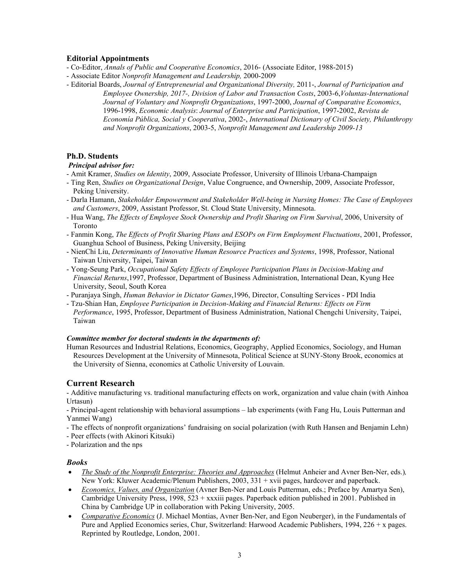## **Editorial Appointments**

- Co-Editor, *Annals of Public and Cooperative Economics*, 2016- (Associate Editor, 1988-2015)
- Associate Editor *Nonprofit Management and Leadership,* 2000-2009
- Editorial Boards, *Journal of Entrepreneurial and Organizational Diversity,* 2011-, *Journal of Participation and Employee Ownership, 2017-, Division of Labor and Transaction Costs*, 2003-6,*Voluntas-International Journal of Voluntary and Nonprofit Organizations*, 1997-2000, *Journal of Comparative Economics*, 1996-1998, *Economic Analysis*: *Journal of Enterprise and Participation*, 1997-2002, *Revista de Economía Pública, Social y Cooperativa*, 2002-, *International Dictionary of Civil Society, Philanthropy and Nonprofit Organizations*, 2003-5, *Nonprofit Management and Leadership 2009-13*

## **Ph.D. Students**

## *Principal advisor for:*

- Amit Kramer, *Studies on Identity*, 2009, Associate Professor, University of Illinois Urbana-Champaign
- Ting Ren, *Studies on Organizational Design*, Value Congruence, and Ownership, 2009, Associate Professor, Peking University.
- Darla Hamann, *Stakeholder Empowerment and Stakeholder Well-being in Nursing Homes: The Case of Employees and Customers*, 2009, Assistant Professor, St. Cloud State University, Minnesota.
- Hua Wang, *The Effects of Employee Stock Ownership and Profit Sharing on Firm Survival*, 2006, University of Toronto
- Fanmin Kong, *The Effects of Profit Sharing Plans and ESOPs on Firm Employment Fluctuations*, 2001, Professor, Guanghua School of Business, Peking University, Beijing
- NienChi Liu, *Determinants of Innovative Human Resource Practices and Systems*, 1998, Professor, National Taiwan University, Taipei, Taiwan
- Yong-Seung Park, *Occupational Safety Effects of Employee Participation Plans in Decision-Making and Financial Returns*,1997, Professor, Department of Business Administration, International Dean, Kyung Hee University, Seoul, South Korea
- Puranjaya Singh, *Human Behavior in Dictator Games*,1996, Director, Consulting Services PDI India
- Tzu-Shian Han, *Employee Participation in Decision-Making and Financial Returns: Effects on Firm Performance*, 1995, Professor, Department of Business Administration, National Chengchi University, Taipei, Taiwan

#### *Committee member for doctoral students in the departments of:*

Human Resources and Industrial Relations, Economics, Geography, Applied Economics, Sociology, and Human Resources Development at the University of Minnesota, Political Science at SUNY-Stony Brook, economics at the University of Sienna, economics at Catholic University of Louvain.

# **Current Research**

- Additive manufacturing vs. traditional manufacturing effects on work, organization and value chain (with Ainhoa Urtasun)

- Principal-agent relationship with behavioral assumptions – lab experiments (with Fang Hu, Louis Putterman and Yanmei Wang)

- The effects of nonprofit organizations' fundraising on social polarization (with Ruth Hansen and Benjamin Lehn)

- Peer effects (with Akinori Kitsuki)

- Polarization and the nps

## *Books*

- *The Study of the Nonprofit Enterprise: Theories and Approaches* (Helmut Anheier and Avner Ben-Ner, eds.)*,*  New York: Kluwer Academic/Plenum Publishers, 2003, 331 + xvii pages, hardcover and paperback.
- *Economics, Values, and Organization* (Avner Ben-Ner and Louis Putterman, eds.; Preface by Amartya Sen), Cambridge University Press, 1998,  $523 + xxx$ iii pages. Paperback edition published in 2001. Published in China by Cambridge UP in collaboration with Peking University, 2005.
- *Comparative Economics* (J. Michael Montias, Avner Ben-Ner, and Egon Neuberger), in the Fundamentals of Pure and Applied Economics series, Chur, Switzerland: Harwood Academic Publishers, 1994, 226 + x pages. Reprinted by Routledge, London, 2001.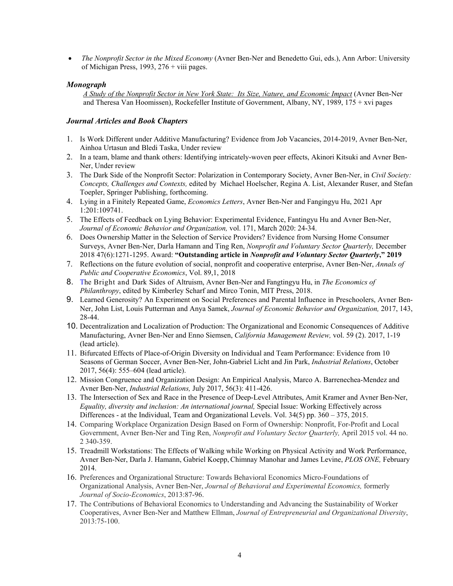*The Nonprofit Sector in the Mixed Economy* (Avner Ben-Ner and Benedetto Gui, eds.), Ann Arbor: University of Michigan Press, 1993,  $276 +$  viii pages.

# *Monograph*

*A Study of the Nonprofit Sector in New York State: Its Size, Nature, and Economic Impact* (Avner Ben-Ner and Theresa Van Hoomissen), Rockefeller Institute of Government, Albany, NY, 1989, 175 + xvi pages

## *Journal Articles and Book Chapters*

- 1. Is Work Different under Additive Manufacturing? Evidence from Job Vacancies, 2014-2019, Avner Ben-Ner, Ainhoa Urtasun and Bledi Taska, Under review
- 2. In a team, blame and thank others: Identifying intricately-woven peer effects, Akinori Kitsuki and Avner Ben-Ner, Under review
- 3. The Dark Side of the Nonprofit Sector: Polarization in Contemporary Society, Avner Ben-Ner, in *Civil Society: Concepts, Challenges and Contexts,* edited by Michael Hoelscher, Regina A. List, Alexander Ruser, and Stefan Toepler, Springer Publishing, forthcoming.
- 4. Lying in a Finitely Repeated Game, *Economics Letters*, Avner Ben-Ner and Fangingyu Hu, 2021 Apr 1:201:109741.
- 5. The Effects of Feedback on Lying Behavior: Experimental Evidence, Fantingyu Hu and Avner Ben-Ner, *Journal of Economic Behavior and Organization,* vol. 171, March 2020: 24-34.
- 6. Does Ownership Matter in the Selection of Service Providers? Evidence from Nursing Home Consumer Surveys, Avner Ben-Ner, Darla Hamann and Ting Ren, *Nonprofit and Voluntary Sector Quarterly,* December 2018 47(6):1271-1295. Award: **"Outstanding article in** *Nonprofit and Voluntary Sector Quarterly***," 2019**
- 7. Reflections on the future evolution of social, nonprofit and cooperative enterprise, Avner Ben-Ner, *Annals of Public and Cooperative Economics*, Vol. 89,1, 2018
- 8. The Bright and Dark Sides of Altruism, Avner Ben-Ner and Fangtingyu Hu, in *The Economics of Philanthropy*, edited by Kimberley Scharf and Mirco Tonin, MIT Press, 2018.
- 9. Learned Generosity? An Experiment on Social Preferences and Parental Influence in Preschoolers, Avner Ben-Ner, John List, Louis Putterman and Anya Samek, *Journal of Economic Behavior and Organization,* 2017, 143, 28-44.
- 10. Decentralization and Localization of Production: The Organizational and Economic Consequences of Additive Manufacturing, Avner Ben-Ner and Enno Siemsen, *California Management Review,* vol. 59 (2). 2017, 1-19 (lead article).
- 11. Bifurcated Effects of Place-of-Origin Diversity on Individual and Team Performance: Evidence from 10 Seasons of German Soccer, Avner Ben-Ner, John-Gabriel Licht and Jin Park, *Industrial Relations*, October 2017, 56(4): 555–604 (lead article).
- 12. Mission Congruence and Organization Design: An Empirical Analysis, Marco A. Barrenechea-Mendez and Avner Ben-Ner, *Industrial Relations,* July 2017, 56(3): 411-426.
- 13. The Intersection of Sex and Race in the Presence of Deep-Level Attributes, Amit Kramer and Avner Ben-Ner, *Equality, diversity and inclusion: An international journal,* Special Issue: Working Effectively across Differences - at the Individual, Team and Organizational Levels. Vol. 34(5) pp. 360 – 375, 2015.
- 14. Comparing Workplace Organization Design Based on Form of Ownership: Nonprofit, For-Profit and Local Government, Avner Ben-Ner and Ting Ren, *Nonprofit and Voluntary Sector Quarterly,* April 2015 vol. 44 no. 2 340-359.
- 15. Treadmill Workstations: The Effects of Walking while Working on Physical Activity and Work Performance, Avner Ben-Ner, Darla J. Hamann, Gabriel Koepp,Chimnay Manohar and James Levine, *PLOS ONE,* February 2014.
- 16. Preferences and Organizational Structure: Towards Behavioral Economics Micro-Foundations of Organizational Analysis, Avner Ben-Ner, *Journal of Behavioral and Experimental Economics,* formerly *Journal of Socio-Economics*, 2013:87-96.
- 17. The Contributions of Behavioral Economics to Understanding and Advancing the Sustainability of Worker Cooperatives, Avner Ben-Ner and Matthew Ellman, *Journal of Entrepreneurial and Organizational Diversity*, 2013:75-100.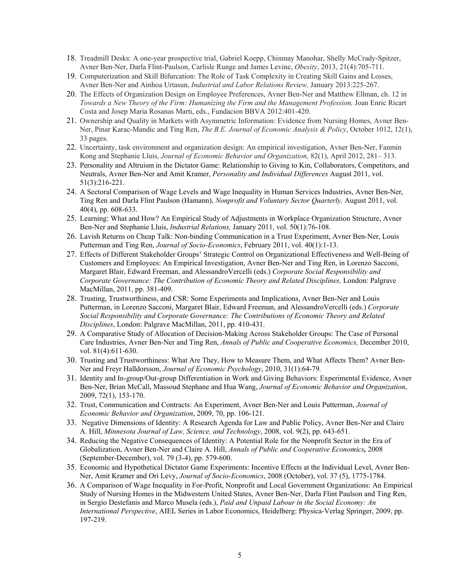- 18. Treadmill Desks: A one-year prospective trial, Gabriel Koepp, Chinmay Manohar, Shelly McCrady-Spitzer, Avner Ben-Ner, Darla Flint-Paulson, Carlisle Runge and James Levine, *Obesity*, 2013, 21(4):705-711.
- 19. Computerization and Skill Bifurcation: The Role of Task Complexity in Creating Skill Gains and Losses, Avner Ben-Ner and Ainhoa Urtasun, *Industrial and Labor Relations Review,* January 2013:225-267.
- 20. The Effects of Organization Design on Employee Preferences, Avner Ben-Ner and Matthew Ellman, ch. 12 in *Towards a New Theory of the Firm: Humanizing the Firm and the Management Profession,* Joan Enric Ricart Costa and Josep Maria Rosanas Marti, eds., Fundacion BBVA 2012:401-420.
- 21. Ownership and Quality in Markets with Asymmetric Information: Evidence from Nursing Homes, Avner Ben-Ner, Pinar Karac-Mandic and Ting Ren, *The B.E. Journal of Economic Analysis & Policy*, October 1012, 12(1), 33 pages.
- 22. Uncertainty, task environment and organization design: An empirical investigation, Avner Ben-Ner, Fanmin Kong and Stephanie Lluis, *Journal of Economic Behavior and Organization,* 82(1), April 2012, 281– 313.
- 23. Personality and Altruism in the Dictator Game: Relationship to Giving to Kin, Collaborators, Competitors, and Neutrals, Avner Ben-Ner and Amit Kramer, *Personality and Individual Differences* August 2011, vol. 51(3):216-221.
- 24. A Sectoral Comparison of Wage Levels and Wage Inequality in Human Services Industries, Avner Ben-Ner, Ting Ren and Darla Flint Paulson (Hamann), *Nonprofit and Voluntary Sector Quarterly,* August 2011, vol. 40(4), pp. 608-633.
- 25. Learning: What and How? An Empirical Study of Adjustments in Workplace Organization Structure, Avner Ben-Ner and Stephanie Lluis, *Industrial Relations,* January 2011, vol. 50(1):76-108.
- 26. Lavish Returns on Cheap Talk: Non-binding Communication in a Trust Experiment, Avner Ben-Ner, Louis Putterman and Ting Ren, *Journal of Socio-Economics*, February 2011, vol. 40(1):1-13.
- 27. Effects of Different Stakeholder Groups' Strategic Control on Organizational Effectiveness and Well-Being of Customers and Employees: An Empirical Investigation, Avner Ben-Ner and Ting Ren, in Lorenzo Sacconi, Margaret Blair, Edward Freeman, and AlessandroVercelli (eds.) *Corporate Social Responsibility and Corporate Governance: The Contribution of Economic Theory and Related Disciplines,* London: Palgrave MacMillan, 2011, pp. 381-409.
- 28. Trusting, Trustworthiness, and CSR: Some Experiments and Implications, Avner Ben-Ner and Louis Putterman, in Lorenzo Sacconi, Margaret Blair, Edward Freeman, and AlessandroVercelli (eds.) *Corporate Social Responsibility and Corporate Governance: The Contributions of Economic Theory and Related Disciplines*, London: Palgrave MacMillan, 2011, pp. 410-431.
- 29. A Comparative Study of Allocation of Decision-Making Across Stakeholder Groups: The Case of Personal Care Industries, Avner Ben-Ner and Ting Ren, *Annals of Public and Cooperative Economics,* December 2010, vol. 81(4):611-630.
- 30. Trusting and Trustworthiness: What Are They, How to Measure Them, and What Affects Them? Avner Ben-Ner and Freyr Halldorsson, *Journal of Economic Psychology*, 2010, 31(1):64-79*.*
- 31. Identity and In-group/Out-group Differentiation in Work and Giving Behaviors: Experimental Evidence, Avner Ben-Ner, Brian McCall, Massoud Stephane and Hua Wang, *Journal of Economic Behavior and Organization*, 2009, 72(1), 153-170.
- 32. Trust, Communication and Contracts: An Experiment, Avner Ben-Ner and Louis Putterman, *Journal of Economic Behavior and Organization*, 2009, 70, pp. 106-121.
- 33. Negative Dimensions of Identity: A Research Agenda for Law and Public Policy, Avner Ben-Ner and Claire A. Hill, *Minnesota Journal of Law, Science, and Technology*, 2008, vol. 9(2), pp. 643-651.
- 34. Reducing the Negative Consequences of Identity: A Potential Role for the Nonprofit Sector in the Era of Globalization, Avner Ben-Ner and Claire A. Hill, *Annals of Public and Cooperative Economics,* 2008 (September-December), vol. 79 (3-4), pp. 579-600.
- 35. Economic and Hypothetical Dictator Game Experiments: Incentive Effects at the Individual Level, Avner Ben-Ner, Amit Kramer and Ori Levy, *Journal of Socio-Economics*, 2008 (October), vol. 37 (5), 1775-1784.
- 36. A Comparison of Wage Inequality in For-Profit, Nonprofit and Local Government Organizations: An Empirical Study of Nursing Homes in the Midwestern United States, Avner Ben-Ner, Darla Flint Paulson and Ting Ren, in Sergio Destefanis and Marco Musela (eds.), *Paid and Unpaid Labour in the Social Economy: An International Perspective*, AIEL Series in Labor Economics, Heidelberg: Physica-Verlag Springer, 2009, pp. 197-219.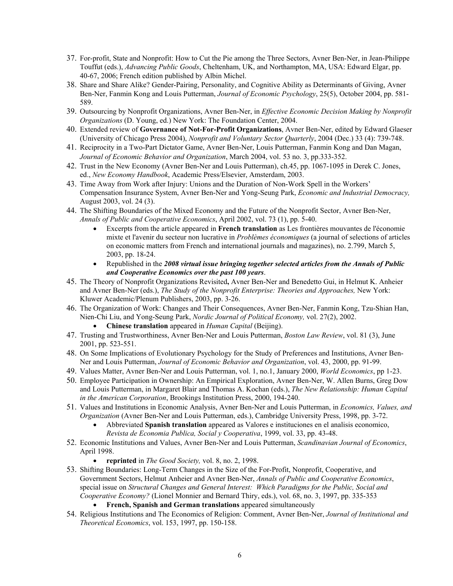- 37. For-profit, State and Nonprofit: How to Cut the Pie among the Three Sectors, Avner Ben-Ner, in Jean-Philippe Touffut (eds.), *Advancing Public Goods*, Cheltenham, UK, and Northampton, MA, USA: Edward Elgar, pp. 40-67, 2006; French edition published by Albin Michel.
- 38. Share and Share Alike? Gender-Pairing, Personality, and Cognitive Ability as Determinants of Giving, Avner Ben-Ner, Fanmin Kong and Louis Putterman, *Journal of Economic Psychology*, 25(5), October 2004, pp. 581- 589.
- 39. Outsourcing by Nonprofit Organizations, Avner Ben-Ner, in *Effective Economic Decision Making by Nonprofit Organizations* (D. Young, ed.) New York: The Foundation Center, 2004.
- 40. Extended review of **Governance of Not-For-Profit Organizations**, Avner Ben-Ner, edited by Edward Glaeser (University of Chicago Press 2004), *Nonprofit and Voluntary Sector Quarterly*, 2004 (Dec.) 33 (4): 739-748.
- 41. Reciprocity in a Two-Part Dictator Game, Avner Ben-Ner, Louis Putterman, Fanmin Kong and Dan Magan, *Journal of Economic Behavior and Organization*, March 2004, vol. 53 no. 3, pp.333-352.
- 42. Trust in the New Economy (Avner Ben-Ner and Louis Putterman), ch.45, pp. 1067-1095 in Derek C. Jones, ed., *New Economy Handbook*, Academic Press/Elsevier, Amsterdam, 2003.
- 43. Time Away from Work after Injury: Unions and the Duration of Non-Work Spell in the Workers' Compensation Insurance System, Avner Ben-Ner and Yong-Seung Park, *Economic and Industrial Democracy,*  August 2003, vol. 24 (3).
- 44. The Shifting Boundaries of the Mixed Economy and the Future of the Nonprofit Sector, Avner Ben-Ner, *Annals of Public and Cooperative Economics*, April 2002, vol. 73 (1), pp. 5-40.
	- Excerpts from the article appeared in **French translation** as Les frontières mouvantes de l'économie mixte et l'avenir du secteur non lucrative in *Problèmes économiques* (a journal of selections of articles on economic matters from French and international journals and magazines), no. 2.799, March 5, 2003, pp. 18-24.
	- Republished in the *2008 virtual issue bringing together selected articles from the Annals of Public and Cooperative Economics over the past 100 years*.
- 45. The Theory of Nonprofit Organizations Revisited**,** Avner Ben-Ner and Benedetto Gui, in Helmut K. Anheier and Avner Ben-Ner (eds.), *The Study of the Nonprofit Enterprise: Theories and Approaches,* New York: Kluwer Academic/Plenum Publishers, 2003, pp. 3-26.
- 46. The Organization of Work: Changes and Their Consequences, Avner Ben-Ner, Fanmin Kong, Tzu-Shian Han, Nien-Chi Liu, and Yong-Seung Park, *Nordic Journal of Political Economy,* vol. 27(2), 2002.
	- **Chinese translation** appeared in *Human Capital* (Beijing).
- 47. Trusting and Trustworthiness, Avner Ben-Ner and Louis Putterman, *Boston Law Review*, vol. 81 (3), June 2001, pp. 523-551.
- 48. On Some Implications of Evolutionary Psychology for the Study of Preferences and Institutions, Avner Ben-Ner and Louis Putterman, *Journal of Economic Behavior and Organization*, vol. 43, 2000, pp. 91-99.
- 49. Values Matter, Avner Ben-Ner and Louis Putterman, vol. 1, no.1, January 2000, *World Economics*, pp 1-23.
- 50. Employee Participation in Ownership: An Empirical Exploration, Avner Ben-Ner, W. Allen Burns, Greg Dow and Louis Putterman, in Margaret Blair and Thomas A. Kochan (eds.), *The New Relationship: Human Capital in the American Corporation*, Brookings Institution Press, 2000, 194-240.
- 51. Values and Institutions in Economic Analysis, Avner Ben-Ner and Louis Putterman, in *Economics, Values, and Organization* (Avner Ben-Ner and Louis Putterman, eds.), Cambridge University Press, 1998, pp. 3-72.
	- Abbreviated **Spanish translation** appeared as Valores e instituciones en el analisis economico, *Revista de Economia Publica, Social y Cooperativa*, 1999, vol. 33, pp. 43-48.
- 52. Economic Institutions and Values, Avner Ben-Ner and Louis Putterman, *Scandinavian Journal of Economics*, April 1998.
	- **reprinted** in *The Good Society,* vol. 8, no. 2, 1998.
- 53. Shifting Boundaries: Long-Term Changes in the Size of the For-Profit, Nonprofit, Cooperative, and Government Sectors, Helmut Anheier and Avner Ben-Ner, *Annals of Public and Cooperative Economics*, special issue on *Structural Changes and General Interest: Which Paradigms for the Public, Social and Cooperative Economy?* (Lionel Monnier and Bernard Thiry, eds.), vol. 68, no. 3, 1997, pp. 335-353
	- **French, Spanish and German translations** appeared simultaneously
- 54. Religious Institutions and The Economics of Religion: Comment, Avner Ben-Ner, *Journal of Institutional and Theoretical Economics*, vol. 153, 1997, pp. 150-158.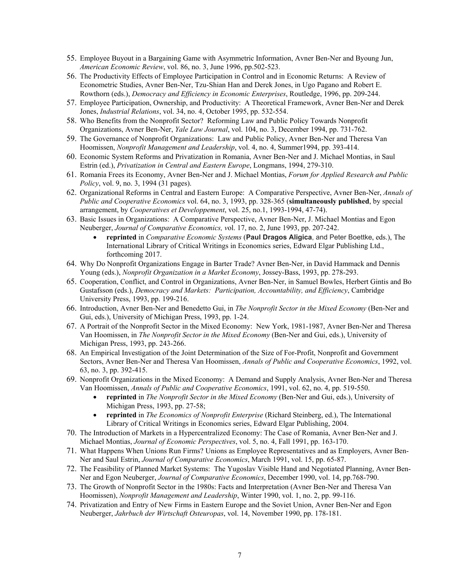- 55. Employee Buyout in a Bargaining Game with Asymmetric Information, Avner Ben-Ner and Byoung Jun, *American Economic Review*, vol. 86, no. 3, June 1996, pp.502-523.
- 56. The Productivity Effects of Employee Participation in Control and in Economic Returns: A Review of Econometric Studies, Avner Ben-Ner, Tzu-Shian Han and Derek Jones, in Ugo Pagano and Robert E. Rowthorn (eds.), *Democracy and Efficiency in Economic Enterprises*, Routledge, 1996, pp. 209-244.
- 57. Employee Participation, Ownership, and Productivity: A Theoretical Framework, Avner Ben-Ner and Derek Jones, *Industrial Relations*, vol. 34, no. 4, October 1995, pp. 532-554.
- 58. Who Benefits from the Nonprofit Sector? Reforming Law and Public Policy Towards Nonprofit Organizations, Avner Ben-Ner, *Yale Law Journal*, vol. 104, no. 3, December 1994, pp. 731-762.
- 59. The Governance of Nonprofit Organizations: Law and Public Policy, Avner Ben-Ner and Theresa Van Hoomissen, *Nonprofit Management and Leadership*, vol. 4, no. 4, Summer1994, pp. 393-414.
- 60. Economic System Reforms and Privatization in Romania, Avner Ben-Ner and J. Michael Montias, in Saul Estrin (ed.), *Privatization in Central and Eastern Europe*, Longmans, 1994, 279-310.
- 61. Romania Frees its Economy, Avner Ben-Ner and J. Michael Montias, *Forum for Applied Research and Public Policy*, vol. 9, no. 3, 1994 (31 pages).
- 62. Organizational Reforms in Central and Eastern Europe: A Comparative Perspective, Avner Ben-Ner, *Annals of Public and Cooperative Economics* vol. 64, no. 3, 1993, pp. 328-365 (**simultaneously published**, by special arrangement, by *Cooperatives et Developpement*, vol. 25, no.1, 1993-1994, 47-74).
- 63. Basic Issues in Organizations: A Comparative Perspective, Avner Ben-Ner, J. Michael Montias and Egon Neuberger, *Journal of Comparative Economics, v*ol. 17, no. 2, June 1993, pp. 207-242.
	- **reprinted** in *Comparative Economic Systems* (**Paul Dragos Aligica**, and Peter Boettke, eds.), The International Library of Critical Writings in Economics series, Edward Elgar Publishing Ltd., forthcoming 2017.
- 64. Why Do Nonprofit Organizations Engage in Barter Trade? Avner Ben-Ner, in David Hammack and Dennis Young (eds.), *Nonprofit Organization in a Market Economy*, Jossey-Bass, 1993, pp. 278-293.
- 65. Cooperation, Conflict, and Control in Organizations, Avner Ben-Ner, in Samuel Bowles, Herbert Gintis and Bo Gustafsson (eds.), *Democracy and Markets: Participation, Accountability, and Efficiency*, Cambridge University Press, 1993, pp. 199-216.
- 66. Introduction, Avner Ben-Ner and Benedetto Gui, in *The Nonprofit Sector in the Mixed Economy* (Ben-Ner and Gui, eds.), University of Michigan Press, 1993, pp. 1-24.
- 67. A Portrait of the Nonprofit Sector in the Mixed Economy: New York, 1981-1987, Avner Ben-Ner and Theresa Van Hoomissen, in *The Nonprofit Sector in the Mixed Economy* (Ben-Ner and Gui, eds.), University of Michigan Press, 1993, pp. 243-266.
- 68. An Empirical Investigation of the Joint Determination of the Size of For-Profit, Nonprofit and Government Sectors, Avner Ben-Ner and Theresa Van Hoomissen, *Annals of Public and Cooperative Economics*, 1992, vol. 63, no. 3, pp. 392-415.
- 69. Nonprofit Organizations in the Mixed Economy: A Demand and Supply Analysis, Avner Ben-Ner and Theresa Van Hoomissen, *Annals of Public and Cooperative Economics*, 1991, vol. 62, no. 4, pp. 519-550.
	- **reprinted** in *The Nonprofit Sector in the Mixed Economy* (Ben-Ner and Gui, eds.), University of Michigan Press, 1993, pp. 27-58;
	- **reprinted** in *The Economics of Nonprofit Enterprise* (Richard Steinberg, ed.), The International Library of Critical Writings in Economics series, Edward Elgar Publishing, 2004.
- 70. The Introduction of Markets in a Hypercentralized Economy: The Case of Romania, Avner Ben-Ner and J. Michael Montias, *Journal of Economic Perspectives*, vol. 5, no. 4, Fall 1991, pp. 163-170.
- 71. What Happens When Unions Run Firms? Unions as Employee Representatives and as Employers, Avner Ben-Ner and Saul Estrin, *Journal of Comparative Economics*, March 1991, vol. 15, pp. 65-87.
- 72. The Feasibility of Planned Market Systems: The Yugoslav Visible Hand and Negotiated Planning, Avner Ben-Ner and Egon Neuberger, *Journal of Comparative Economics*, December 1990, vol. 14, pp.768-790.
- 73. The Growth of Nonprofit Sector in the 1980s: Facts and Interpretation (Avner Ben-Ner and Theresa Van Hoomissen), *Nonprofit Management and Leadership*, Winter 1990, vol. 1, no. 2, pp. 99-116.
- 74. Privatization and Entry of New Firms in Eastern Europe and the Soviet Union, Avner Ben-Ner and Egon Neuberger, *Jahrbuch der Wirtschaft Osteuropas*, vol. 14, November 1990, pp. 178-181.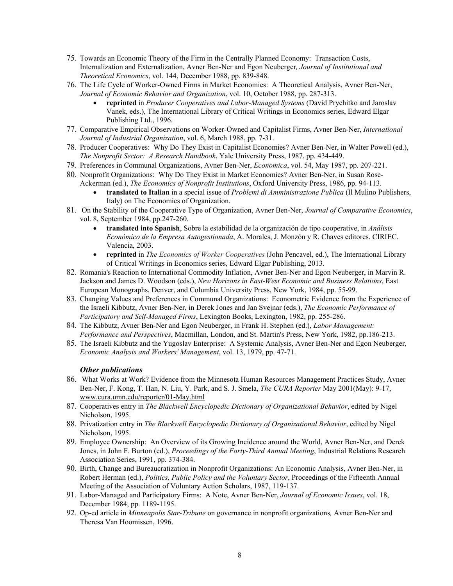- 75. Towards an Economic Theory of the Firm in the Centrally Planned Economy: Transaction Costs, Internalization and Externalization, Avner Ben-Ner and Egon Neuberger*, Journal of Institutional and Theoretical Economics*, vol. 144, December 1988, pp. 839-848.
- 76. The Life Cycle of Worker-Owned Firms in Market Economies: A Theoretical Analysis, Avner Ben-Ner, *Journal of Economic Behavior and Organization*, vol. 10, October 1988, pp. 287-313.
	- **reprinted** in *Producer Cooperatives and Labor-Managed Systems* (David Prychitko and Jaroslav Vanek, eds.), The International Library of Critical Writings in Economics series, Edward Elgar Publishing Ltd., 1996.
- 77. Comparative Empirical Observations on Worker-Owned and Capitalist Firms, Avner Ben-Ner, *International Journal of Industrial Organization*, vol. 6, March 1988, pp. 7-31.
- 78. Producer Cooperatives: Why Do They Exist in Capitalist Economies? Avner Ben-Ner, in Walter Powell (ed.), *The Nonprofit Sector: A Research Handbook*, Yale University Press, 1987, pp. 434-449.
- 79. Preferences in Communal Organizations, Avner Ben-Ner, *Economica*, vol. 54, May 1987, pp. 207-221.
- 80. Nonprofit Organizations: Why Do They Exist in Market Economies? Avner Ben-Ner, in Susan Rose-Ackerman (ed.), *The Economics of Nonprofit Institutions*, Oxford University Press, 1986, pp. 94-113.
	- **translated to Italian** in a special issue of *Problemi di Amministrazione Publica* (Il Mulino Publishers, Italy) on The Economics of Organization.
- 81. On the Stability of the Cooperative Type of Organization, Avner Ben-Ner, *Journal of Comparative Economics*, vol. 8, September 1984, pp.247-260.
	- **translated into Spanish**, Sobre la estabilidad de la organización de tipo cooperative, in *Análisis Económico de la Empresa Autogestionada*, A. Morales, J. Monzón y R. Chaves editores. CIRIEC. Valencia, 2003.
	- **reprinted** in *The Economics of Worker Cooperatives* (John Pencavel, ed.), The International Library of Critical Writings in Economics series, Edward Elgar Publishing, 2013.
- 82. Romania's Reaction to International Commodity Inflation, Avner Ben-Ner and Egon Neuberger, in Marvin R. Jackson and James D. Woodson (eds.), *New Horizons in East-West Economic and Business Relations*, East European Monographs, Denver, and Columbia University Press, New York, 1984, pp. 55-99.
- 83. Changing Values and Preferences in Communal Organizations: Econometric Evidence from the Experience of the Israeli Kibbutz, Avner Ben-Ner, in Derek Jones and Jan Svejnar (eds.), *The Economic Performance of Participatory and Self-Managed Firms*, Lexington Books, Lexington, 1982, pp. 255-286.
- 84. The Kibbutz, Avner Ben-Ner and Egon Neuberger, in Frank H. Stephen (ed.), *Labor Management: Performance and Perspectives*, Macmillan, London, and St. Martin's Press, New York, 1982, pp.186-213.
- 85. The Israeli Kibbutz and the Yugoslav Enterprise: A Systemic Analysis, Avner Ben-Ner and Egon Neuberger, *Economic Analysis and Workers' Management*, vol. 13, 1979, pp. 47-71.

## *Other publications*

- 86. What Works at Work? Evidence from the Minnesota Human Resources Management Practices Study, Avner Ben-Ner, F. Kong, T. Han, N. Liu, Y. Park, and S. J. Smela, *The CURA Reporter* May 2001(May): 9-17, www.cura.umn.edu/reporter/01-May.html
- 87. Cooperatives entry in *The Blackwell Encyclopedic Dictionary of Organizational Behavior*, edited by Nigel Nicholson, 1995.
- 88. Privatization entry in *The Blackwell Encyclopedic Dictionary of Organizational Behavior*, edited by Nigel Nicholson, 1995.
- 89. Employee Ownership: An Overview of its Growing Incidence around the World, Avner Ben-Ner, and Derek Jones, in John F. Burton (ed.), *Proceedings of the Forty-Third Annual Meeting*, Industrial Relations Research Association Series, 1991, pp. 374-384.
- 90. Birth, Change and Bureaucratization in Nonprofit Organizations: An Economic Analysis, Avner Ben-Ner, in Robert Herman (ed.), *Politics, Public Policy and the Voluntary Sector*, Proceedings of the Fifteenth Annual Meeting of the Association of Voluntary Action Scholars, 1987, 119-137.
- 91. Labor-Managed and Participatory Firms: A Note, Avner Ben-Ner, *Journal of Economic Issues*, vol. 18, December 1984, pp. 1189-1195.
- 92. Op-ed article in *Minneapolis Star-Tribune* on governance in nonprofit organizations*,* Avner Ben-Ner and Theresa Van Hoomissen, 1996.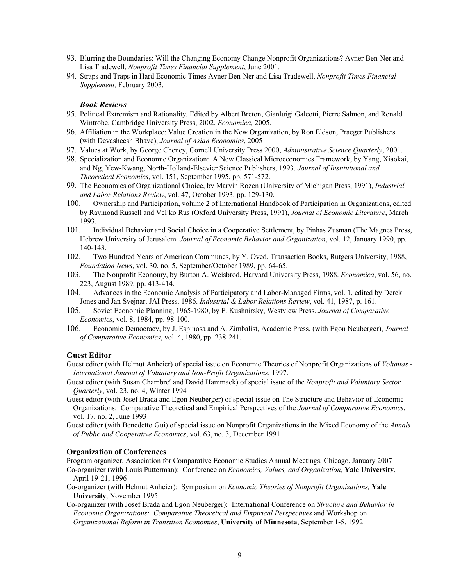- 93. Blurring the Boundaries: Will the Changing Economy Change Nonprofit Organizations? Avner Ben-Ner and Lisa Tradewell, *Nonprofit Times Financial Supplement*, June 2001.
- 94. Straps and Traps in Hard Economic Times Avner Ben-Ner and Lisa Tradewell, *Nonprofit Times Financial Supplement,* February 2003.

#### *Book Reviews*

- 95. Political Extremism and Rationality*.* Edited by Albert Breton, Gianluigi Galeotti, Pierre Salmon, and Ronald Wintrobe, Cambridge University Press, 2002. *Economica,* 2005.
- 96. Affiliation in the Workplace: Value Creation in the New Organization, by Ron Eldson, Praeger Publishers (with Devasheesh Bhave), *Journal of Asian Economics*, 2005
- 97. Values at Work, by George Cheney, Cornell University Press 2000, *Administrative Science Quarterly*, 2001.
- 98. Specialization and Economic Organization: A New Classical Microeconomics Framework, by Yang, Xiaokai, and Ng, Yew-Kwang, North-Holland-Elsevier Science Publishers, 1993. *Journal of Institutional and Theoretical Economics*, vol. 151, September 1995, pp. 571-572.
- 99. The Economics of Organizational Choice, by Marvin Rozen (University of Michigan Press, 1991), *Industrial and Labor Relations Review*, vol. 47, October 1993, pp. 129-130.
- 100. Ownership and Participation, volume 2 of International Handbook of Participation in Organizations, edited by Raymond Russell and Veljko Rus (Oxford University Press, 1991), *Journal of Economic Literature*, March 1993.
- 101. Individual Behavior and Social Choice in a Cooperative Settlement, by Pinhas Zusman (The Magnes Press, Hebrew University of Jerusalem. *Journal of Economic Behavior and Organization*, vol. 12, January 1990, pp. 140-143.
- 102. Two Hundred Years of American Communes, by Y. Oved, Transaction Books, Rutgers University, 1988, *Foundation News*, vol. 30, no. 5, September/October 1989, pp. 64-65.
- 103. The Nonprofit Economy, by Burton A. Weisbrod, Harvard University Press, 1988. *Economica*, vol. 56, no. 223, August 1989, pp. 413-414.
- 104. Advances in the Economic Analysis of Participatory and Labor-Managed Firms, vol. 1, edited by Derek Jones and Jan Svejnar, JAI Press, 1986. *Industrial & Labor Relations Review*, vol. 41, 1987, p. 161.
- 105. Soviet Economic Planning, 1965-1980, by F. Kushnirsky, Westview Press. *Journal of Comparative Economics*, vol. 8, 1984, pp. 98-100.
- 106. Economic Democracy, by J. Espinosa and A. Zimbalist, Academic Press, (with Egon Neuberger), *Journal of Comparative Economics*, vol. 4, 1980, pp. 238-241.

#### **Guest Editor**

- Guest editor (with Helmut Anheier) of special issue on Economic Theories of Nonprofit Organizations of *Voluntas International Journal of Voluntary and Non-Profit Organizations*, 1997.
- Guest editor (with Susan Chambre' and David Hammack) of special issue of the *Nonprofit and Voluntary Sector Quarterly*, vol. 23, no. 4, Winter 1994
- Guest editor (with Josef Brada and Egon Neuberger) of special issue on The Structure and Behavior of Economic Organizations: Comparative Theoretical and Empirical Perspectives of the *Journal of Comparative Economics*, vol. 17, no. 2, June 1993
- Guest editor (with Benedetto Gui) of special issue on Nonprofit Organizations in the Mixed Economy of the *Annals of Public and Cooperative Economics*, vol. 63, no. 3, December 1991

#### **Organization of Conferences**

Program organizer, Association for Comparative Economic Studies Annual Meetings, Chicago, January 2007 Co-organizer (with Louis Putterman): Conference on *Economics, Values, and Organization,* **Yale University**, April 19-21, 1996

- Co-organizer (with Helmut Anheier): Symposium on *Economic Theories of Nonprofit Organizations,* **Yale University**, November 1995
- Co-organizer (with Josef Brada and Egon Neuberger): International Conference on *Structure and Behavior in Economic Organizations: Comparative Theoretical and Empirical Perspectives* and Workshop on *Organizational Reform in Transition Economies*, **University of Minnesota**, September 1-5, 1992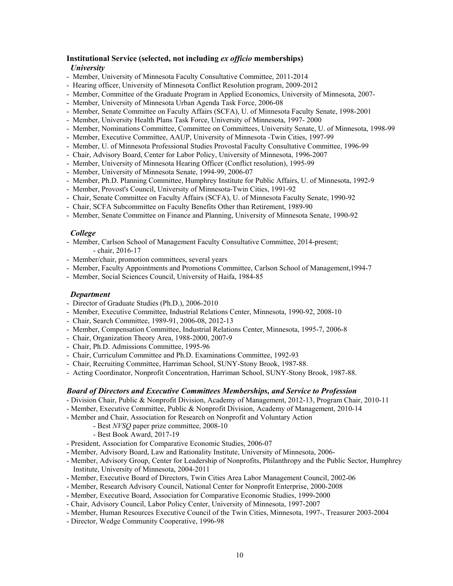#### **Institutional Service (selected, not including** *ex officio* **memberships)**

#### *University*

- Member, University of Minnesota Faculty Consultative Committee, 2011-2014
- Hearing officer, University of Minnesota Conflict Resolution program, 2009-2012
- Member, Committee of the Graduate Program in Applied Economics, University of Minnesota, 2007-
- Member, University of Minnesota Urban Agenda Task Force, 2006-08
- Member, Senate Committee on Faculty Affairs (SCFA), U. of Minnesota Faculty Senate, 1998-2001
- Member, University Health Plans Task Force, University of Minnesota, 1997- 2000
- Member, Nominations Committee, Committee on Committees, University Senate, U. of Minnesota, 1998-99
- Member, Executive Committee, AAUP, University of Minnesota -Twin Cities, 1997-99
- Member, U. of Minnesota Professional Studies Provostal Faculty Consultative Committee, 1996-99
- Chair, Advisory Board, Center for Labor Policy, University of Minnesota, 1996-2007
- Member, University of Minnesota Hearing Officer (Conflict resolution), 1995-99
- Member, University of Minnesota Senate, 1994-99, 2006-07
- Member, Ph.D. Planning Committee, Humphrey Institute for Public Affairs, U. of Minnesota, 1992-9
- Member, Provost's Council, University of Minnesota-Twin Cities, 1991-92
- Chair, Senate Committee on Faculty Affairs (SCFA), U. of Minnesota Faculty Senate, 1990-92
- Chair, SCFA Subcommittee on Faculty Benefits Other than Retirement, 1989-90
- Member, Senate Committee on Finance and Planning, University of Minnesota Senate, 1990-92

#### *College*

- Member, Carlson School of Management Faculty Consultative Committee, 2014-present; - chair, 2016-17
- Member/chair, promotion committees, several years
- Member, Faculty Appointments and Promotions Committee, Carlson School of Management,1994-7
- Member, Social Sciences Council, University of Haifa, 1984-85

#### *Department*

- Director of Graduate Studies (Ph.D.), 2006-2010
- Member, Executive Committee, Industrial Relations Center, Minnesota, 1990-92, 2008-10
- Chair, Search Committee, 1989-91, 2006-08, 2012-13
- Member, Compensation Committee, Industrial Relations Center, Minnesota, 1995-7, 2006-8
- Chair, Organization Theory Area, 1988-2000, 2007-9
- Chair, Ph.D. Admissions Committee, 1995-96
- Chair, Curriculum Committee and Ph.D. Examinations Committee, 1992-93
- Chair, Recruiting Committee, Harriman School, SUNY-Stony Brook, 1987-88.
- Acting Coordinator, Nonprofit Concentration, Harriman School, SUNY-Stony Brook, 1987-88.

#### *Board of Directors and Executive Committees Memberships, and Service to Profession*

- Division Chair, Public & Nonprofit Division, Academy of Management, 2012-13, Program Chair, 2010-11
- Member, Executive Committee, Public & Nonprofit Division, Academy of Management, 2010-14
- Member and Chair, Association for Research on Nonprofit and Voluntary Action
	- Best *NVSQ* paper prize committee, 2008-10
		- Best Book Award, 2017-19
- President, Association for Comparative Economic Studies, 2006-07
- Member, Advisory Board, Law and Rationality Institute, University of Minnesota, 2006-
- Member, Advisory Group, Center for Leadership of Nonprofits, Philanthropy and the Public Sector, Humphrey Institute, University of Minnesota, 2004-2011
- Member, Executive Board of Directors, Twin Cities Area Labor Management Council, 2002-06
- Member, Research Advisory Council, National Center for Nonprofit Enterprise, 2000-2008
- Member, Executive Board, Association for Comparative Economic Studies, 1999-2000
- Chair, Advisory Council, Labor Policy Center, University of Minnesota, 1997-2007
- Member, Human Resources Executive Council of the Twin Cities, Minnesota, 1997-, Treasurer 2003-2004
- Director, Wedge Community Cooperative, 1996-98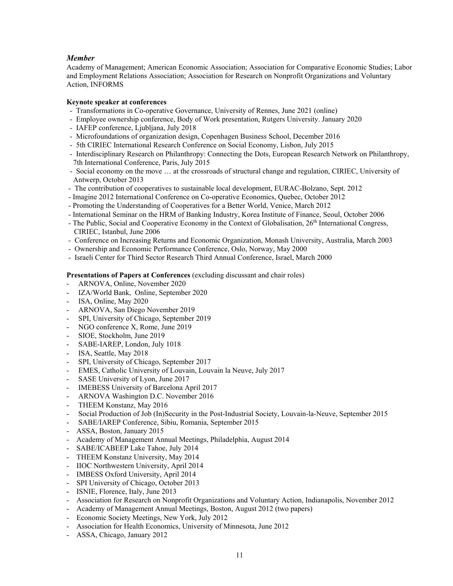# *Member*

Academy of Management; American Economic Association; Association for Comparative Economic Studies; Labor and Employment Relations Association; Association for Research on Nonprofit Organizations and Voluntary Action, INFORMS

## **Keynote speaker at conferences**

- Transformations in Co-operative Governance, University of Rennes, June 2021 (online)
- Employee ownership conference, Body of Work presentation, Rutgers University. January 2020
- IAFEP conference, Ljubljana, July 2018
- Microfoundations of organization design, Copenhagen Business School, December 2016
- 5th CIRIEC International Research Conference on Social Economy, Lisbon, July 2015
- Interdisciplinary Research on Philanthropy: Connecting the Dots, European Research Network on Philanthropy, 7th International Conference, Paris, July 2015
- Social economy on the move … at the crossroads of structural change and regulation, CIRIEC, University of Antwerp, October 2013
- The contribution of cooperatives to sustainable local development, EURAC-Bolzano, Sept. 2012
- Imagine 2012 International Conference on Co-operative Economics, Quebec, October 2012
- Promoting the Understanding of Cooperatives for a Better World, Venice, March 2012
- International Seminar on the HRM of Banking Industry, Korea Institute of Finance, Seoul, October 2006
- The Public, Social and Cooperative Economy in the Context of Globalisation, 26th International Congress, CIRIEC, Istanbul, June 2006
- Conference on Increasing Returns and Economic Organization, Monash University, Australia, March 2003
- Ownership and Economic Performance Conference, Oslo, Norway, May 2000
- Israeli Center for Third Sector Research Third Annual Conference, Israel, March 2000

#### **Presentations of Papers at Conferences** (excluding discussant and chair roles)

- ARNOVA, Online, November 2020
- IZA/World Bank, Online, September 2020
- ISA, Online, May 2020
- ARNOVA, San Diego November 2019
- SPI, University of Chicago, September 2019
- NGO conference X, Rome, June 2019
- SIOE, Stockholm, June 2019
- SABE-IAREP, London, July 1018
- ISA, Seattle, May 2018
- SPI, University of Chicago, September 2017
- EMES, Catholic University of Louvain, Louvain la Neuve, July 2017
- SASE University of Lyon, June 2017
- IMEBESS University of Barcelona April 2017
- ARNOVA Washington D.C. November 2016
- THEEM Konstanz, May 2016
- Social Production of Job (In)Security in the Post-Industrial Society, Louvain-la-Neuve, September 2015
- SABE/IAREP Conference, Sibiu, Romania, September 2015
- ASSA, Boston, January 2015
- Academy of Management Annual Meetings, Philadelphia, August 2014
- SABE/ICABEEP Lake Tahoe, July 2014
- THEEM Konstanz University, May 2014
- IIOC Northwestern University, April 2014
- IMBESS Oxford University, April 2014
- SPI University of Chicago, October 2013
- ISNIE, Florence, Italy, June 2013
- Association for Research on Nonprofit Organizations and Voluntary Action, Indianapolis, November 2012
- Academy of Management Annual Meetings, Boston, August 2012 (two papers)
- Economic Society Meetings, New York, July 2012
- Association for Health Economics, University of Minnesota, June 2012
- ASSA, Chicago, January 2012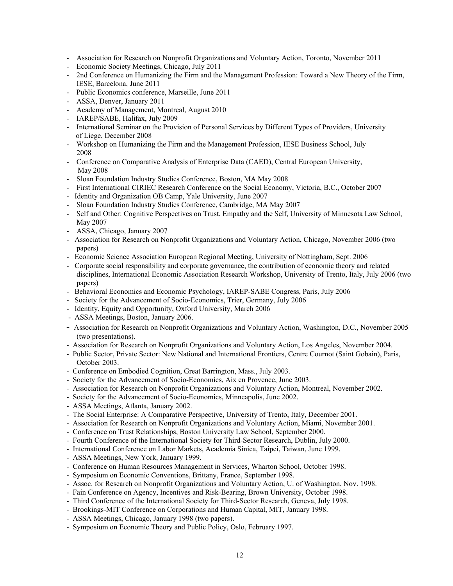- Association for Research on Nonprofit Organizations and Voluntary Action, Toronto, November 2011
- Economic Society Meetings, Chicago, July 2011
- 2nd Conference on Humanizing the Firm and the Management Profession: Toward a New Theory of the Firm, IESE, Barcelona, June 2011
- Public Economics conference, Marseille, June 2011
- ASSA, Denver, January 2011
- Academy of Management, Montreal, August 2010
- IAREP/SABE, Halifax, July 2009
- International Seminar on the Provision of Personal Services by Different Types of Providers, University of Liege, December 2008
- Workshop on Humanizing the Firm and the Management Profession, IESE Business School, July 2008
- Conference on Comparative Analysis of Enterprise Data (CAED), Central European University, May 2008
- Sloan Foundation Industry Studies Conference, Boston, MA May 2008
- First International CIRIEC Research Conference on the Social Economy, Victoria, B.C., October 2007
- Identity and Organization OB Camp, Yale University, June 2007
- Sloan Foundation Industry Studies Conference, Cambridge, MA May 2007
- Self and Other: Cognitive Perspectives on Trust, Empathy and the Self, University of Minnesota Law School, May 2007
- ASSA, Chicago, January 2007
- Association for Research on Nonprofit Organizations and Voluntary Action, Chicago, November 2006 (two papers)
- Economic Science Association European Regional Meeting, University of Nottingham, Sept. 2006
- Corporate social responsibility and corporate governance, the contribution of economic theory and related disciplines, International Economic Association Research Workshop, University of Trento, Italy, July 2006 (two papers)
- Behavioral Economics and Economic Psychology, IAREP-SABE Congress, Paris, July 2006
- Society for the Advancement of Socio-Economics, Trier, Germany, July 2006
- Identity, Equity and Opportunity, Oxford University, March 2006
- ASSA Meetings, Boston, January 2006.
- **-** Association for Research on Nonprofit Organizations and Voluntary Action, Washington, D.C., November 2005 (two presentations).
- Association for Research on Nonprofit Organizations and Voluntary Action, Los Angeles, November 2004.
- Public Sector, Private Sector: New National and International Frontiers, Centre Cournot (Saint Gobain), Paris, October 2003.
- Conference on Embodied Cognition, Great Barrington, Mass., July 2003.
- Society for the Advancement of Socio-Economics, Aix en Provence, June 2003.
- Association for Research on Nonprofit Organizations and Voluntary Action, Montreal, November 2002.
- Society for the Advancement of Socio-Economics, Minneapolis, June 2002.
- ASSA Meetings, Atlanta, January 2002.
- The Social Enterprise: A Comparative Perspective, University of Trento, Italy, December 2001.
- Association for Research on Nonprofit Organizations and Voluntary Action, Miami, November 2001.
- Conference on Trust Relationships, Boston University Law School, September 2000.
- Fourth Conference of the International Society for Third-Sector Research, Dublin, July 2000.
- International Conference on Labor Markets, Academia Sinica, Taipei, Taiwan, June 1999.
- ASSA Meetings, New York, January 1999.
- Conference on Human Resources Management in Services, Wharton School, October 1998.
- Symposium on Economic Conventions, Brittany, France, September 1998.
- Assoc. for Research on Nonprofit Organizations and Voluntary Action, U. of Washington, Nov. 1998.
- Fain Conference on Agency, Incentives and Risk-Bearing, Brown University, October 1998.
- Third Conference of the International Society for Third-Sector Research, Geneva, July 1998.
- Brookings-MIT Conference on Corporations and Human Capital, MIT, January 1998.
- ASSA Meetings, Chicago, January 1998 (two papers).
- Symposium on Economic Theory and Public Policy, Oslo, February 1997.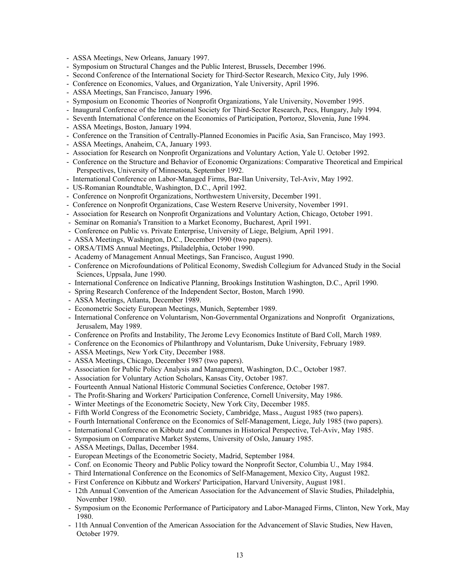- ASSA Meetings, New Orleans, January 1997.
- Symposium on Structural Changes and the Public Interest, Brussels, December 1996.
- Second Conference of the International Society for Third-Sector Research, Mexico City, July 1996.
- Conference on Economics, Values, and Organization, Yale University, April 1996.
- ASSA Meetings, San Francisco, January 1996.
- Symposium on Economic Theories of Nonprofit Organizations, Yale University, November 1995.
- Inaugural Conference of the International Society for Third-Sector Research, Pecs, Hungary, July 1994.
- Seventh International Conference on the Economics of Participation, Portoroz, Slovenia, June 1994.
- ASSA Meetings, Boston, January 1994.
- Conference on the Transition of Centrally-Planned Economies in Pacific Asia, San Francisco, May 1993.
- ASSA Meetings, Anaheim, CA, January 1993.
- Association for Research on Nonprofit Organizations and Voluntary Action, Yale U. October 1992.
- Conference on the Structure and Behavior of Economic Organizations: Comparative Theoretical and Empirical Perspectives, University of Minnesota, September 1992.
- International Conference on Labor-Managed Firms, Bar-Ilan University, Tel-Aviv, May 1992.
- US-Romanian Roundtable, Washington, D.C., April 1992.
- Conference on Nonprofit Organizations, Northwestern University, December 1991.
- Conference on Nonprofit Organizations, Case Western Reserve University, November 1991.
- Association for Research on Nonprofit Organizations and Voluntary Action, Chicago, October 1991.
- Seminar on Romania's Transition to a Market Economy, Bucharest, April 1991.
- Conference on Public vs. Private Enterprise, University of Liege, Belgium, April 1991.
- ASSA Meetings, Washington, D.C., December 1990 (two papers).
- ORSA/TIMS Annual Meetings, Philadelphia, October 1990.
- Academy of Management Annual Meetings, San Francisco, August 1990.
- Conference on Microfoundations of Political Economy, Swedish Collegium for Advanced Study in the Social Sciences, Uppsala, June 1990.
- International Conference on Indicative Planning, Brookings Institution Washington, D.C., April 1990.
- Spring Research Conference of the Independent Sector, Boston, March 1990.
- ASSA Meetings, Atlanta, December 1989.
- Econometric Society European Meetings, Munich, September 1989.
- International Conference on Voluntarism, Non-Governmental Organizations and Nonprofit Organizations, Jerusalem, May 1989.
- Conference on Profits and Instability, The Jerome Levy Economics Institute of Bard Coll, March 1989.
- Conference on the Economics of Philanthropy and Voluntarism, Duke University, February 1989.
- ASSA Meetings, New York City, December 1988.
- ASSA Meetings, Chicago, December 1987 (two papers).
- Association for Public Policy Analysis and Management, Washington, D.C., October 1987.
- Association for Voluntary Action Scholars, Kansas City, October 1987.
- Fourteenth Annual National Historic Communal Societies Conference, October 1987.
- The Profit-Sharing and Workers' Participation Conference, Cornell University, May 1986.
- Winter Meetings of the Econometric Society, New York City, December 1985.
- Fifth World Congress of the Econometric Society, Cambridge, Mass., August 1985 (two papers).
- Fourth International Conference on the Economics of Self-Management, Liege, July 1985 (two papers).
- International Conference on Kibbutz and Communes in Historical Perspective, Tel-Aviv, May 1985.
- Symposium on Comparative Market Systems, University of Oslo, January 1985.
- ASSA Meetings, Dallas, December 1984.
- European Meetings of the Econometric Society, Madrid, September 1984.
- Conf. on Economic Theory and Public Policy toward the Nonprofit Sector, Columbia U., May 1984.
- Third International Conference on the Economics of Self-Management, Mexico City, August 1982.
- First Conference on Kibbutz and Workers' Participation, Harvard University, August 1981.
- 12th Annual Convention of the American Association for the Advancement of Slavic Studies, Philadelphia, November 1980.
- Symposium on the Economic Performance of Participatory and Labor-Managed Firms, Clinton, New York, May 1980.
- 11th Annual Convention of the American Association for the Advancement of Slavic Studies, New Haven, October 1979.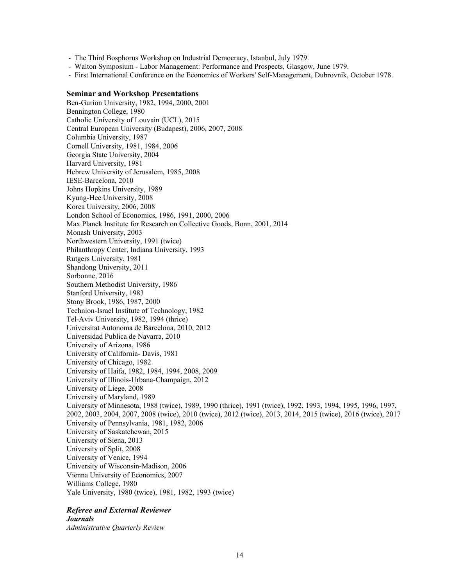- The Third Bosphorus Workshop on Industrial Democracy, Istanbul, July 1979.

- Walton Symposium Labor Management: Performance and Prospects, Glasgow, June 1979.
- First International Conference on the Economics of Workers' Self-Management, Dubrovnik, October 1978.

#### **Seminar and Workshop Presentations**

Ben-Gurion University, 1982, 1994, 2000, 2001 Bennington College, 1980 Catholic University of Louvain (UCL), 2015 Central European University (Budapest), 2006, 2007, 2008 Columbia University, 1987 Cornell University, 1981, 1984, 2006 Georgia State University, 2004 Harvard University, 1981 Hebrew University of Jerusalem, 1985, 2008 IESE-Barcelona, 2010 Johns Hopkins University, 1989 Kyung-Hee University, 2008 Korea University, 2006, 2008 London School of Economics, 1986, 1991, 2000, 2006 Max Planck Institute for Research on Collective Goods, Bonn, 2001, 2014 Monash University, 2003 Northwestern University, 1991 (twice) Philanthropy Center, Indiana University, 1993 Rutgers University, 1981 Shandong University, 2011 Sorbonne, 2016 Southern Methodist University, 1986 Stanford University, 1983 Stony Brook, 1986, 1987, 2000 Technion-Israel Institute of Technology, 1982 Tel-Aviv University, 1982, 1994 (thrice) Universitat Autonoma de Barcelona, 2010, 2012 Universidad Publica de Navarra, 2010 University of Arizona, 1986 University of California- Davis, 1981 University of Chicago, 1982 University of Haifa, 1982, 1984, 1994, 2008, 2009 University of Illinois-Urbana-Champaign, 2012 University of Liege, 2008 University of Maryland, 1989 University of Minnesota, 1988 (twice), 1989, 1990 (thrice), 1991 (twice), 1992, 1993, 1994, 1995, 1996, 1997, 2002, 2003, 2004, 2007, 2008 (twice), 2010 (twice), 2012 (twice), 2013, 2014, 2015 (twice), 2016 (twice), 2017 University of Pennsylvania, 1981, 1982, 2006 University of Saskatchewan, 2015 University of Siena, 2013 University of Split, 2008 University of Venice, 1994 University of Wisconsin-Madison, 2006 Vienna University of Economics, 2007 Williams College, 1980 Yale University, 1980 (twice), 1981, 1982, 1993 (twice)

# *Referee and External Reviewer*

*Journals Administrative Quarterly Review*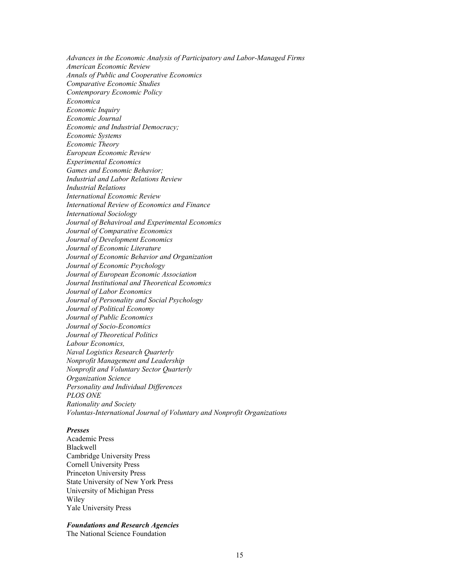*Advances in the Economic Analysis of Participatory and Labor-Managed Firms American Economic Review Annals of Public and Cooperative Economics Comparative Economic Studies Contemporary Economic Policy Economica Economic Inquiry Economic Journal Economic and Industrial Democracy; Economic Systems Economic Theory European Economic Review Experimental Economics Games and Economic Behavior; Industrial and Labor Relations Review Industrial Relations International Economic Review International Review of Economics and Finance International Sociology Journal of Behaviroal and Experimental Economics Journal of Comparative Economics Journal of Development Economics Journal of Economic Literature Journal of Economic Behavior and Organization Journal of Economic Psychology Journal of European Economic Association Journal Institutional and Theoretical Economics Journal of Labor Economics Journal of Personality and Social Psychology Journal of Political Economy Journal of Public Economics Journal of Socio-Economics Journal of Theoretical Politics Labour Economics, Naval Logistics Research Quarterly Nonprofit Management and Leadership Nonprofit and Voluntary Sector Quarterly Organization Science Personality and Individual Differences PLOS ONE Rationality and Society Voluntas-International Journal of Voluntary and Nonprofit Organizations* 

#### *Presses*

Academic Press Blackwell Cambridge University Press Cornell University Press Princeton University Press State University of New York Press University of Michigan Press Wiley Yale University Press

#### *Foundations and Research Agencies*

The National Science Foundation